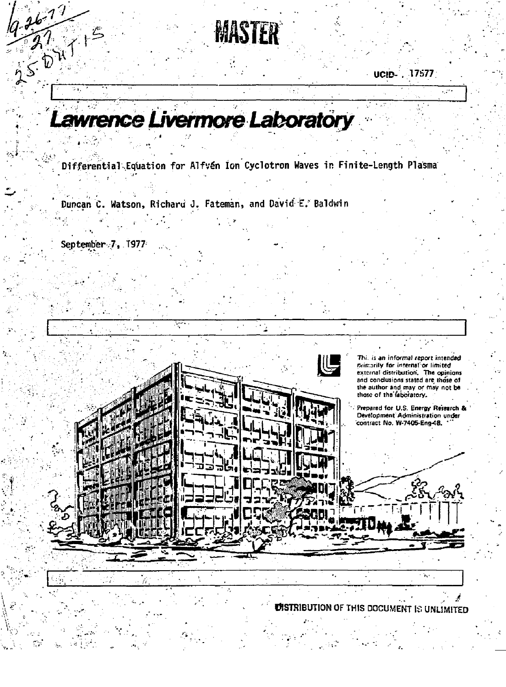MASTER

**UCID.** 17577

## awrence Livermore Laboratory

Differential Equation for Alfvén Ion Cyclotron Waves in Finite-Length Plasma

Duncan C. Watson, Richard J. Fateman, and David E. Baldwin

К

September 7, 1977

 $3677$ 

 $5047$ 

÷. Thi, is an informal report intended Britainly for internal or limited<br>external distribution. The opinions and conclusions stated are those of the author and may or may not be<br>those of the faboratory. Prepared for U.S. Energy Research & Development Administration under contract No. W-7405-Eng-48.  $\mathbf{r}_\mathrm{A}$  .  $\ddot{\phantom{a}}$ 

**UISTRIBUTION OF THIS DOCUMENT IS UNLIMITED**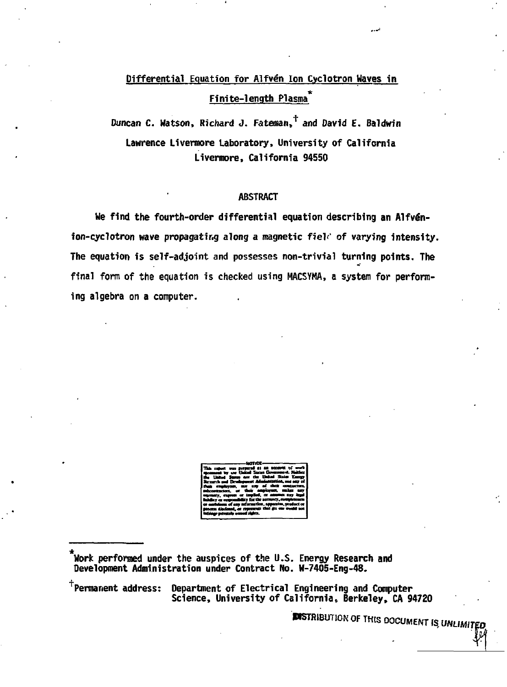## Differential Equation for Alfvén Ion Cyclotron Waves in Finite-length Plasma

Duncan C. Watson, Richard J. Fateman,  $^{\dagger}$  and David E. Baldwin Lawrence Livermore Laboratory, University of California Livermore, California 94550

## **ABSTRACT**

We find the fourth-order differential equation describing an Alfvénion-cyclotron wave propagating along a magnetic field of varying intensity. The equation is self-adjoint and possesses non-trivial turning points. The final form of the equation is checked using MACSYMA, a system for performing algebra on a computer.

<sup>†</sup>Permanent address:

Department of Electrical Engineering and Computer Science, University of California, Berkeley, CA 94720

**ENSTRIBUTION OF THIS DOCUMENT IS UNLIMITED** 

Work performed under the auspices of the U.S. Energy Research and Development Administration under Contract No. W-7405-Eng-48.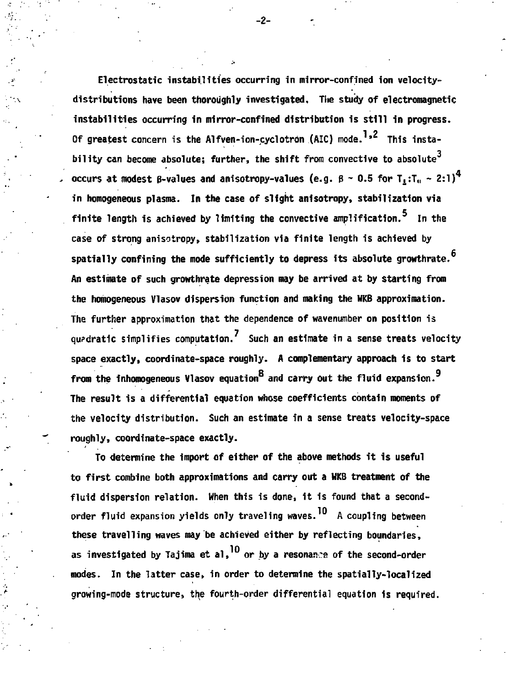**Electrostatic instabilities occurring in mirror-confined ion velocitydistributions have been thoroughly investigated. The study of electromagnetic instabilities occurring in mirror-confined distribution is still in progress.**  Of greatest concern is the Alfven-ion-cyclotron (AIC) mode.<sup>1,2</sup> This insta-**3 bility can become absolute; further, the shift from convective to absolute**  occurs at modest B-values and anisotropy-values (e.g.  $\beta \sim 0.5$  for  $T_1:T_0 \sim 2:1)^4$ **in homogeneous plasma. In the case of slight anisotrapy, stabilization via finite length is achieved by limiting the convective amplification. In the case of strong anisotropy, stabilization via finite length is achieved by spatially confining the mode sufficiently to depress its absolute growthrate. An estimate of such growthrate depression may be arrived at by starting from the homogeneous Vlasov dispersion function and making the HKB approximation. The further approximation that the dependence of wavenumber on position is quadratic simplifies computation. Such an estimate in a sense treats velocity space exactly, coordinate-space roughly. A complementary approach is to start**  from the inhomogeneous Vlasov equation<sup>8</sup> and carry out the fluid expansion.<sup>9</sup> The result is a differential equation whose coefficients contain moments of the velocity distribution. Such an estimate in a sense treats velocity-space **the velocity distributions** roughly.

To determine the import of either of the above methods it is useful to first combine both approximations and carry out a WKB treatment of the fluid dispersion relation. When this is done, it is found that a secondorder fluid expansion yields only traveling waves.<sup>10</sup> A coupling between these travelling waves may be achieved either by reflecting boundaries. as investigated by Tajima et al,<sup>10</sup> or by a resonance of the second-order modes. In the latter case, in order to determine the spatially-localized growing-mode structure, the fourth-order differential equation is required.

**growing-mode structure, the fourth-order differential equation Is required.** 

**-2-**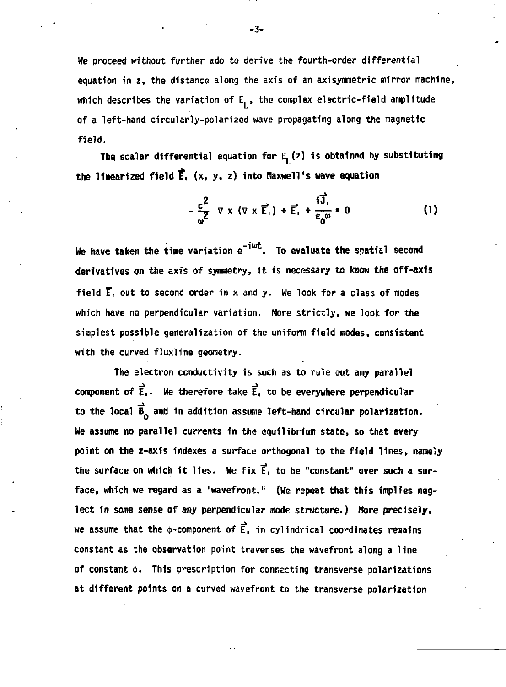We proceed without further ado to derive the fourth-order differential equation in z, the distance along the axis of an axisymmetric mirror machine, which describes the variation of  $E_1$ , the complex electric-field amplitude of a left-hand circularly-polarized wave propagating along the magnetic field.

The scalar differential equation for E<sub>1</sub>(z) is obtained by substituting **the linearized field** *t,* **(x, y, z) into Maxwell's wave equation** 

$$
-\frac{c^2}{\omega^2} \nabla \times (\nabla \times \vec{E_1}) + \vec{E_1} + \frac{i\vec{J_1}}{\epsilon_0 \omega} = 0
$$
 (1)

**We have taken the time variation e<sup>-jwt</sup>. To evaluate the spatial second derivatives on the axis of symuetry, it is necessary to know the off-axis field E~, out to second order in x and y. Me look for a class of modes which have no perpendicular variation. More strictly, we look for the simplest possible generalization of the uniform field modes, consistent with the curved fluxline geometry.** 

**The electron conductivity is such as to rule out any parallel component of E,. We therefore take E, to be everywhere perpendicular**  to the local  $\vec{B}$  and in addition assume left-hand circular polarization. **We assume no parallel currents in the equilibrium state, so that every point on the z-axis indexes a surface orthogonal to the field lines, namely the surface on which it lies- We fix E, to be "constant" over such a surface, which we regard as a "wavefront." (We repeat that this implies neglect in some sense of any perpendicular mode structure.) More precisely, we assume that the**  $\phi$ **-component of**  $\vec{E}$ **, in cylindrical coordinates remains constant as the observation point traverses the wavefront along a line**  of constant  $\phi$ . This prescription for connecting transverse polarizations **at different points on a curved wavefront to the transverse polarization** 

**-3-**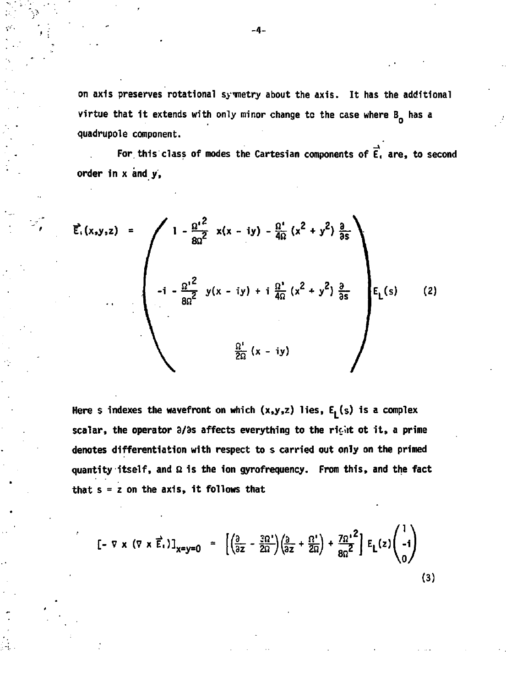**on axis preserves rotational symmetry about the axis. It has the additional**  virtue that it extends with only minor change to the case where B<sub>o</sub> has a **quadrupole component.** 

For this class of modes the Cartesian components of  $\vec{E}_1$  are, to second **order in x and y,** 

$$
\vec{E}_{1}(x,y,z) = \left(\begin{array}{cc} 1 - \frac{\Omega^{12}}{8\Omega^{2}} & x(x - iy) - \frac{\Omega^{1}}{4\Omega}(x^{2} + y^{2}) \frac{a}{\partial s} \\ -1 - \frac{\Omega^{12}}{8\Omega^{2}} & y(x - iy) + i \frac{\Omega^{1}}{4\Omega}(x^{2} + y^{2}) \frac{a}{\partial s} \\ \vdots & \vdots & \vdots \\ \frac{\Omega^{1}}{2\Omega}(x - iy) & \frac{\Omega^{1}}{2\Omega}(x - iy) \end{array}\right) E_{L}(s) \quad (2)
$$

**Here s indexes the wavefront on which (x,y,z) lies, E, (s) 1s a complex**  scalar, the operator 3/3s affects everything to the right ot it, a prime **denotes differentiation with respect to s carried out only on the primed**  quantity itself, and  $\Omega$  is the ion gyrofrequency. From this, and the fact **that s = z on the axis, it follows that** 

$$
\left[-\nabla \times (\nabla \times \vec{E}_1)\right]_{x=y=0} = \left[\left(\frac{\partial}{\partial z} - \frac{3\Omega^2}{2\Omega}\right)\left(\frac{\partial}{\partial z} + \frac{\Omega^2}{2\Omega}\right) + \frac{7\Omega^2}{8\Omega^2}\right] E_L(z) \begin{pmatrix} 1 \\ -1 \\ 0 \end{pmatrix}
$$
\n(3)

-4-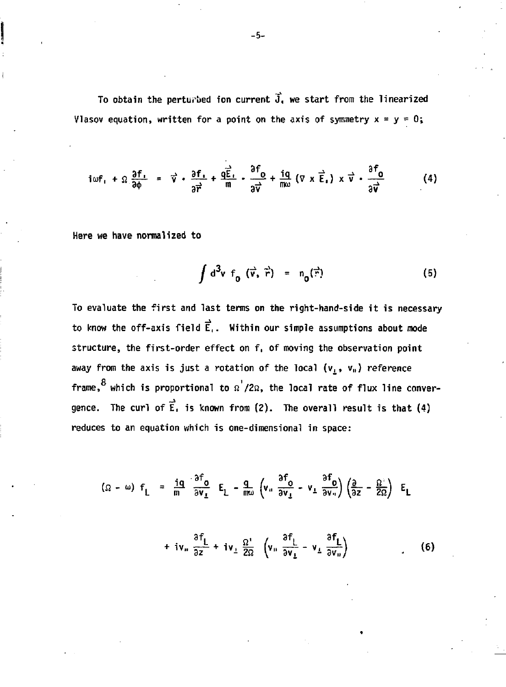**To obtain the perturbed ion current J, we start from the linearized Vlasov equation, written for a point on the axis of symmetry**  $x = y = 0$ **;** 

$$
i\omega f_1 + \Omega \frac{\partial f_1}{\partial \phi} = \vec{v} \cdot \frac{\partial f_1}{\partial \vec{r}} + \frac{q\vec{E}_1}{m} - \frac{\partial^2 f_0}{\partial \vec{v}} + \frac{iq}{m\omega} (\nabla \times \vec{E}_1) \times \vec{v} \cdot \frac{\partial^2 f_0}{\partial \vec{v}}
$$
(4)

**Here we have normalized to** 

$$
\int d^3v f_0(\vec{v}, \vec{r}) = n_0(\vec{r})
$$
 (5)

To evaluate the first and last terms on the right-hand-side it is necessary to know the off-axis field  $\vec{E}$ . Within our simple assumptions about mode structure, the first-order effect on f, of moving the observation point away from the axis is just a rotation of the local ( $\bm{{\mathsf{v}}}_\text{\tiny L}$ ,  $\bm{{\mathsf{v}}}_\text{\tiny H}$ ) reference  $8$  which is propositional to  $0$ frame, which is proportional to *a /2a,* the local rate of flux line conver gence. The curl of  $\vec{E}$ , is known from (2). The overall result is that (4) reduces to an equation which is one-dimensional in space:

$$
(\Omega - \omega) f_{L} = \frac{iq}{m} \frac{\partial^{2} \theta}{\partial v_{L}} E_{L} - \frac{q}{m\omega} \left( v_{u} \frac{\partial^{2} \theta}{\partial v_{L}} - v_{L} \frac{\partial^{2} \theta}{\partial v_{u}} \right) \left( \frac{\partial}{\partial z} - \frac{\Omega^{2}}{2\Omega} \right) E_{L}
$$
\n
$$
\frac{\partial f_{L}}{\partial v_{u}} = \frac{iq}{m} \frac{\partial^{2} f_{L}}{\partial v_{L}} E_{L} - \frac{q}{m\omega} \left( v_{u} \frac{\partial^{2} f_{L}}{\partial v_{u}} - v_{L} \frac{\partial^{2} f_{L}}{\partial v_{u}} \right) \left( \frac{\partial}{\partial z} - \frac{\Omega^{2}}{2\Omega} \right) E_{L}
$$

 $\frac{1}{2}$  32  $\frac{1}{2}$   $\frac{1}{2}$   $\frac{3}{2}$   $\frac{1}{2}$   $\frac{3}{2}$   $\frac{1}{2}$   $\frac{3}{2}$   $\frac{1}{2}$   $\frac{3}{2}$   $\frac{1}{2}$   $\frac{1}{2}$   $\frac{1}{2}$   $\frac{1}{2}$   $\frac{1}{2}$   $\frac{1}{2}$   $\frac{1}{2}$   $\frac{1}{2}$   $\frac{1}{2}$   $\frac{1}{2}$   $\frac{1}{2}$   $\frac{1}{2}$ 

**-5-**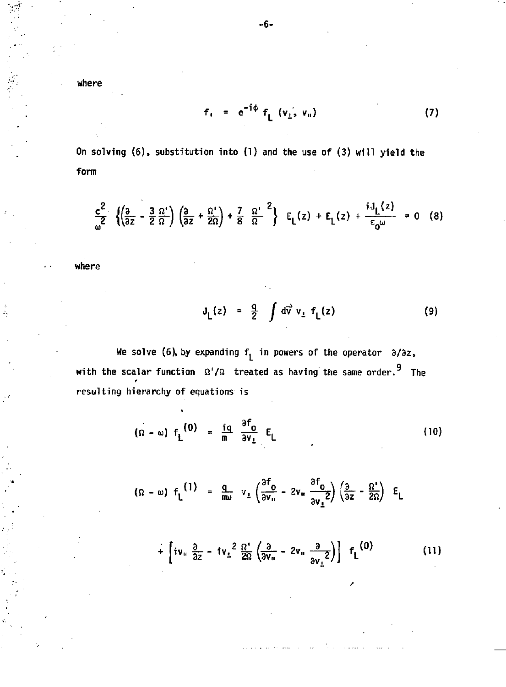**where** 

$$
f_{1} = e^{-i\phi} f_{L} (v_{1}, v_{1})
$$
 (7)

**On solving (6), substitution into (1) and the use of (3) will yield the form** 

$$
\frac{c^2}{\omega^2} \left\{ \left( \frac{3}{3z} - \frac{3}{2} \frac{\Omega^1}{\Omega} \right) \left( \frac{3}{3z} + \frac{\Omega^1}{2\Omega} \right) + \frac{7}{8} \frac{\Omega^1}{\Omega}^2 \right\} \quad E_L(z) + E_L(z) + \frac{iJ_L(z)}{\varepsilon_0 \omega} = 0 \quad (8)
$$

**where** 

$$
J_{L}(z) = \frac{q}{2} \int d\vec{v} \; v_{L} \; f_{L}(z) \tag{9}
$$

We solve (6), by expanding  $f_L$  in powers of the operator  $\partial/\partial z$ , with the scalar function  $\Omega'/\Omega$  treated as having the same order.<sup>9</sup> The resulting hierarchy of equations is

$$
(\Omega - \omega) f_L^{(0)} = \frac{iq}{m} \frac{\partial f_0}{\partial v_L} E_L
$$
 (10)

$$
( \Omega - \omega ) f_L^{(1)} = \frac{q}{m\omega} v_L \left( \frac{3f_0}{3v_0} - 2v_u \frac{3f_0}{3v_2^2} \right) \left( \frac{3}{3z} - \frac{\Omega^2}{2\Omega} \right) E_L
$$

$$
+\left[iv_{\rm u}\frac{\partial}{\partial z}-iv_{\rm L}^2\frac{\Omega}{2\Omega}\left(\frac{\partial}{\partial v_{\rm u}}-2v_{\rm u}\frac{\partial}{\partial v_{\rm L}}\right)\right]f_{\rm L}^{(0)}\qquad (11)
$$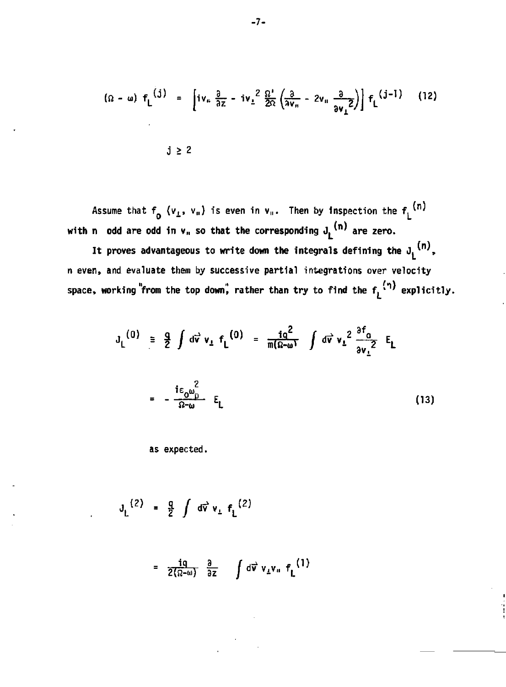$$
(\Omega - \omega) f_L^{(j)} = \left[ i v_n \frac{\partial}{\partial z} - i v_{\perp}^2 \frac{\Omega'}{2\Omega} \left( \frac{\partial}{\partial v_n} - 2 v_n \frac{\partial}{\partial v_{\perp}} 2 \right) \right] f_L^{(j-1)}
$$
(12)

Assume that  $f_{\alpha}$  (v<sub>L</sub>, v<sub>"</sub>) is even in v<sub>"</sub>. Then by inspection the  $f_{\alpha}$ <sup>, , ,</sup> **with n** odd are odd in  $v_n$  so that the corresponding  $J_k^{(n)}$  are zero.

It proves advantageous to write down the integrals defining the  $J_i^{(n)}$ , **n even, and evaluate them by successive partial integrations over velocity**  space, working "from the top down", rather than try to find the  $f_L^{(\eta)}$  explicitly.

$$
J_{L}^{(0)} = \frac{q}{2} \int d\vec{v} v_{L} f_{L}^{(0)} = \frac{iq^{2}}{m(\Omega - \omega)} \int d\vec{v} v_{L}^{2} \frac{\partial f_{0}}{\partial v_{L}^{2}} E_{L}
$$

$$
= -\frac{i\epsilon_{0} \omega_{D}^{2}}{\Omega - \omega} E_{L}
$$
(13)

as expected.

$$
J_{L}^{(2)} = \frac{q}{2} \int d\vec{v} \, v_{L} \, f_{L}^{(2)}
$$

$$
= \frac{iq}{2(\Omega-\omega)} \frac{\partial}{\partial z} \int d\vec{v} \; v_{\perp} v_{\rm n} \; f_{\rm L}^{(1)}
$$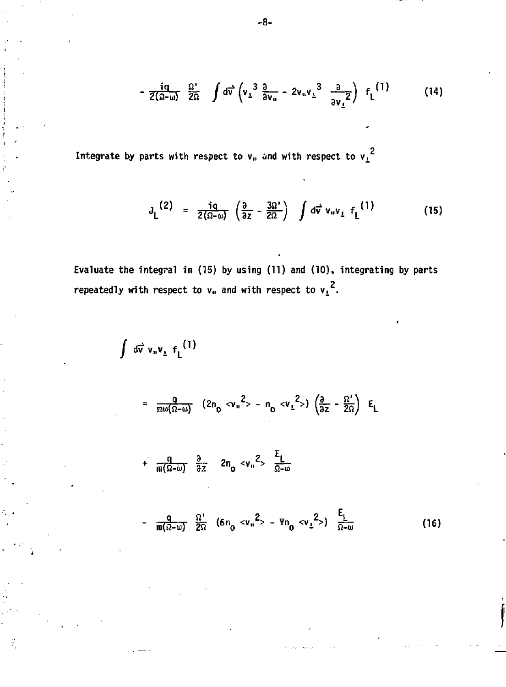$$
-\frac{iq}{2(\Omega-\omega)}\frac{\Omega'}{2\Omega}\int d\vec{v}\left(v_{\perp}^{3}\frac{\partial}{\partial v_{u}}-2v_{u}v_{\perp}^{3}\frac{\partial}{\partial v_{\perp}}\right) f_{L}^{(1)}
$$
(14)

Integrate by parts with respect to  $\bf{v}_0$  and with respect to  $\bf{v_L}^2$ 

 $\mathcal{G}$ 

$$
J_{L}^{(2)} = \frac{iq}{2(\Omega - \omega)} \left( \frac{\partial}{\partial z} - \frac{3\Omega'}{2\Omega} \right) \int d\vec{v} \, v_{\mu} v_{\mu} \, f_{L}^{(1)} \qquad (15)
$$

i

**Evaluate the integral in (15) by using (11) and (10), integrating by parts**   $\mathbf{z} = \mathbf{z} \cdot \mathbf{z}$  are  $\mathbf{z} \cdot \mathbf{z} = \mathbf{z} \cdot \mathbf{z}$  .  $\mathbf{z} \cdot \mathbf{z} = \mathbf{z} \cdot \mathbf{z}$  .  $\mathbf{z} \cdot \mathbf{z} = \mathbf{z} \cdot \mathbf{z}$ 

$$
d\vec{v} \, v_{\mu} v_{\mu} f_{L}^{(1)}
$$
\n
$$
= \frac{q}{m\omega(\Omega-\omega)} (2n_{0} < v_{\mu}^{2} > - n_{0} < v_{L}^{2} >) \left(\frac{\partial}{\partial z} - \frac{\Omega^{2}}{2\Omega}\right) E_{L}
$$
\n
$$
+ \frac{q}{m(\Omega-\omega)} \frac{\partial}{\partial z} 2n_{0} < v_{\mu}^{2} > \frac{E_{L}}{\Omega-\omega}
$$
\n
$$
- \frac{q}{m(\Omega-\omega)} \frac{\Omega^{2}}{2\Omega} (6n_{0} < v_{\mu}^{2} > - \Psi n_{0} < v_{L}^{2} >) \frac{E_{L}}{\Omega-\omega}
$$
\n(16)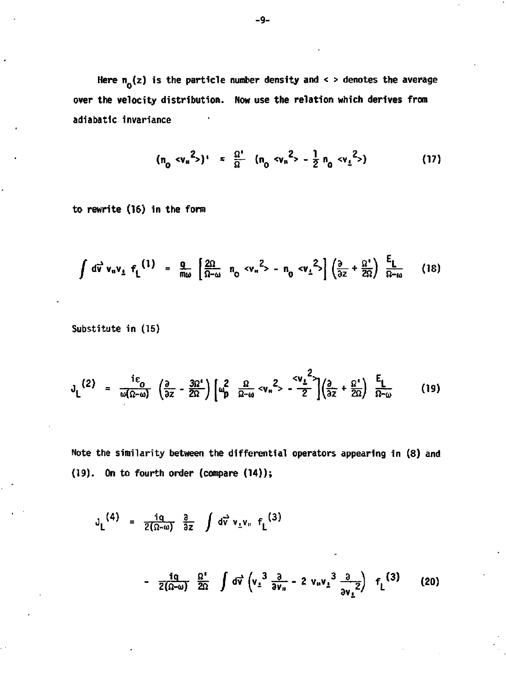Here  $n_0(z)$  is the particle number density and < > denotes the average **over the velocity distribution. Now use the relation which derives from adiabatlc invariance** 

$$
(n_0 < v_{\rm u}^2>)' = \frac{\Omega'}{\Omega} (n_0 < v_{\rm u}^2) - \frac{1}{2} n_0 < v_{\rm t}^2) \tag{17}
$$

**to rewrite (16) in the form** 

$$
\int d\vec{v} \, v_{\mu} v_{\mu} \, f_{L}^{(1)} = \frac{q}{m\omega} \left[ \frac{2\Omega}{\Omega - \omega} n_{0} \, v_{\mu}^{2} - n_{0} \, v_{L}^{2} \right] \left( \frac{\partial}{\partial z} + \frac{\Omega^{2}}{2\Omega} \right) \, \frac{E_{L}}{\Omega - \omega} \qquad (18)
$$

**Substitute in (15)** 

$$
J_{L}^{(2)} = \frac{i\epsilon_0}{\omega(\Omega-\omega)} \left(\frac{\partial}{\partial z} - \frac{3\Omega'}{2\Omega}\right) \left[\omega_p^2 \frac{\Omega}{\Omega-\omega} < v_n^2 > -\frac{3v_1^2}{2}\right] \left(\frac{\partial}{\partial z} + \frac{\Omega'}{2\Omega}\right) \frac{E_L}{\Omega-\omega}
$$
 (19)

**Note the similarity between the differential operators appearing in (8) and (19). On to fourth order (compare (14));** 

$$
J_{L}^{(4)} = \frac{iq}{2(\Omega-\omega)} \frac{\partial}{\partial z} \int d\vec{v} v_{L}v_{n} f_{L}^{(3)}
$$
  
- 
$$
\frac{iq}{2(\Omega-\omega)} \frac{\Omega'}{2\Omega} \int d\vec{v} (v_{L}^{3} \frac{\partial}{\partial v_{n}} - 2 v_{n}v_{L}^{3} \frac{\partial}{\partial v_{L}^{2}}) f_{L}^{(3)}
$$
(20)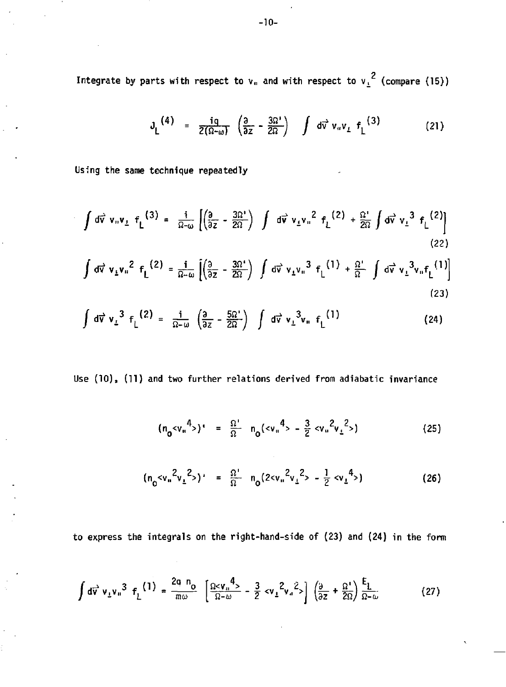Integrate by parts with respect to  $v_{\rm u}$  and with respect to  $v_{\rm \perp}^2$  (compare (15))

$$
J_L^{\left(4\right)} = \frac{ig}{2(\Omega - \omega)} \left( \frac{3}{2z} - \frac{3\Omega'}{2\Omega} \right) \int d\vec{v} \, v_u v_L \, f_L^{\left(3\right)} \tag{21}
$$

**Using the same technique repeatedly** 

$$
\int d\vec{v} \, v_{\shortparallel} v_{\perp} f_L^{(3)} = \frac{i}{\Omega - \omega} \left[ \left( \frac{\partial}{\partial z} - \frac{3\Omega^2}{2\Omega} \right) \int d\vec{v} \, v_{\perp} v_{\shortparallel}^2 f_L^{(2)} + \frac{\Omega^2}{2\Omega} \int d\vec{v} \, v_{\perp}^3 f_L^{(2)} \right]
$$
\n(22)

$$
\int d\vec{v} \ v_{\perp} v_{\perp}^2 f_L^{(2)} = \frac{i}{\Omega - \omega} \left[ \left( \frac{\partial}{\partial z} - \frac{3\Omega^4}{2\Omega} \right) \int d\vec{v} \ v_{\perp} v_{\perp}^3 f_L^{(1)} + \frac{\Omega^4}{\Omega} \int d\vec{v} \ v_{\perp}^3 v_{\perp} f_L^{(1)} \right]
$$
\n(23)

$$
\int d\vec{v} v_{\perp}^{3} f_{\perp}^{(2)} = \frac{i}{\Omega - \omega} \left( \frac{\partial}{\partial z} - \frac{5\Omega'}{2\Omega} \right) \int d\vec{v} v_{\perp}^{3} v_{\perp} f_{\perp}^{(1)}
$$
 (24)

**Use (10), (11) and two further relations derived from adiabatic invariance** 

$$
(n_0 < v_{\rm u}^4>)' = \frac{\Omega'}{\Omega} n_0 (< v_{\rm u}^4> - \frac{3}{2} < v_{\rm u}^2 v_{\rm u}^2)
$$
 (25)

$$
(n_0<\nu_n^2\nu_1^2>)' = \frac{\Omega'}{\Omega} n_0(2<\nu_n^2\nu_1^2> - \frac{1}{2}<\nu_1^4>)
$$
 (26)

**to express the integrals on the right-hand-side of (23) and (24) in the form** 

$$
\int d\vec{v} \, v_{\perp} v_{\parallel}^3 \, f_{\perp}^{(1)} = \frac{2q \, n_0}{m \omega} \left[ \frac{\Omega v_{\parallel}^4}{\Omega - \omega} - \frac{3}{2} \, v_{\perp}^2 v_{\parallel}^2 \right] \left( \frac{\partial}{\partial z} + \frac{\Omega^2}{2\Omega} \right) \frac{f_{\perp}}{\Omega - \omega} \tag{27}
$$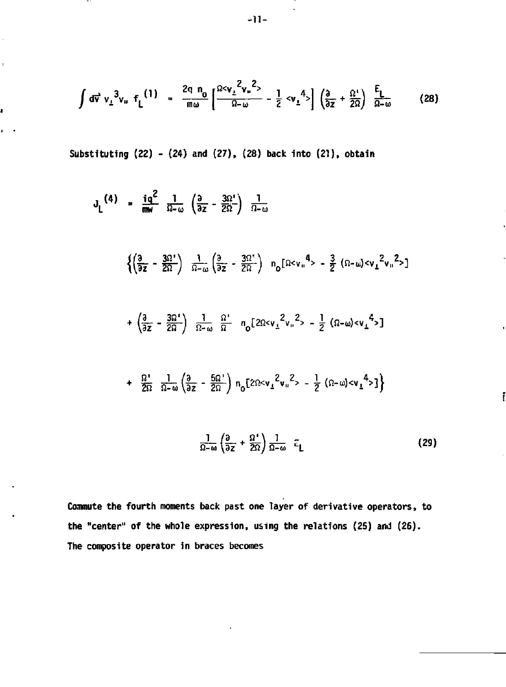$$
\int d\vec{v} \ v_{\perp}^3 v_{\parallel} \ f_{\parallel}^{(1)} = \frac{2q n_0}{m \omega} \left[ \frac{2c v_{\perp}^2 v_{\parallel}^2}{\Omega - \omega} - \frac{1}{2} c v_{\perp}^4 \right] \left( \frac{\partial}{\partial z} + \frac{\Omega^4}{2\Omega} \right) \ \frac{E_{\perp}}{\Omega - \omega} \tag{28}
$$

**Substituting (22) - (24) and (27), (28) back into (21), obtain** 

 $\sim$ 

ï

J

$$
J_{L}^{(4)} = \frac{iq^{2}}{m\omega} \frac{1}{\Omega - \omega} \left( \frac{\partial}{\partial z} - \frac{3\Omega^{4}}{2\Omega} \right) \frac{1}{\Omega - \omega}
$$
\n
$$
\left\{ \left( \frac{\partial}{\partial z} - \frac{3\Omega^{4}}{2\Omega} \right) \frac{1}{\Omega - \omega} \left( \frac{\partial}{\partial z} - \frac{3\Omega^{4}}{2\Omega} \right) n_{0} \left[ \Omega < v_{u}^{4} > -\frac{3}{2} \left( \Omega - \omega \right) < v_{L}^{2} v_{u}^{2} > \right] \right.
$$
\n
$$
+ \left( \frac{\partial}{\partial z} - \frac{3\Omega^{4}}{2\Omega} \right) \frac{1}{\Omega - \omega} \frac{\Omega^{4}}{\Omega} n_{0} \left[ 2\Omega < v_{\perp}^{2} v_{u}^{2} > -\frac{1}{2} \left( \Omega - \omega \right) < v_{\perp}^{4} > \right]
$$
\n
$$
+ \frac{\Omega^{4}}{2\Omega} \frac{1}{\Omega - \omega} \left( \frac{\partial}{\partial z} - \frac{5\Omega^{4}}{2\Omega} \right) n_{0} \left[ 2\Omega < v_{\perp}^{2} v_{u}^{2} > -\frac{1}{2} \left( \Omega - \omega \right) < v_{\perp}^{4} > \right] \right\}
$$
\n
$$
+ \frac{1}{2\Omega} \frac{1}{\Omega - \omega} \left( \frac{\partial}{\partial z} - \frac{5\Omega^{4}}{2\Omega} \right) n_{0} \left[ 2\Omega < v_{\perp}^{2} v_{u}^{2} > -\frac{1}{2} \left( \Omega - \omega \right) < v_{\perp}^{4} > \right] \right\}
$$
\n
$$
(29)
$$

i

**Commute the fourth moments back past one layer of derivative operators, to the "center" of the whole expression, using the relations (25) and (26). The composite operator in braces becomes** 

ı,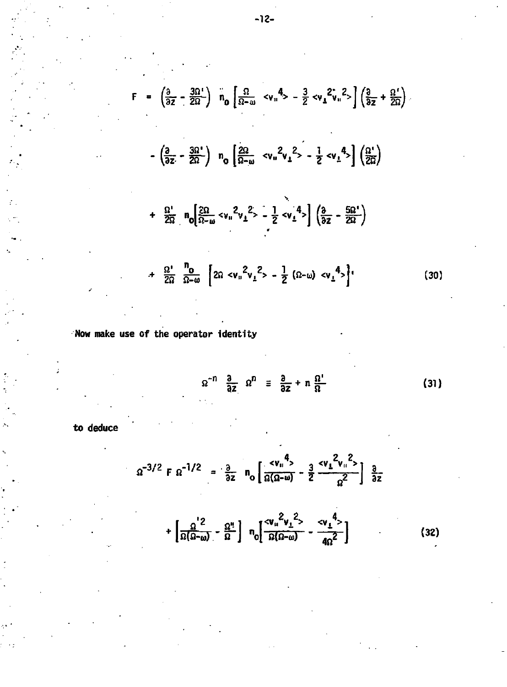$$
F = \left(\frac{\partial}{\partial z} - \frac{3\Omega^4}{2\Omega}\right) n_0 \left[\frac{\Omega}{\Omega - \omega} \langle v_n^4 \rangle - \frac{3}{2} \langle v_1^2 \rangle_n^2 \rangle \right] \left(\frac{\partial}{\partial z} + \frac{\Omega^4}{2\Omega}\right)
$$
  

$$
- \left(\frac{\partial}{\partial z} - \frac{3\Omega^4}{2\Omega}\right) n_0 \left[\frac{2\Omega}{\Omega - \omega} \langle v_n^2 v_1^2 \rangle - \frac{1}{2} \langle v_1^4 \rangle \right] \left(\frac{\Omega^4}{2\Omega}\right)
$$
  

$$
+ \frac{\Omega^4}{2\Omega} n_0 \left[\frac{2\Omega}{\Omega - \omega} \langle v_n^2 v_1^2 \rangle - \frac{1}{2} \langle v_1^4 \rangle \right] \left(\frac{\partial}{\partial z} - \frac{5\Omega^4}{2\Omega}\right)
$$
  

$$
+ \frac{\Omega^4}{2\Omega} n_0 \left[\frac{2\Omega}{\Omega - \omega} \langle v_n^2 v_1^2 \rangle - \frac{1}{2} \langle v_1 \omega \rangle \langle v_1^4 \rangle \right] \tag{30}
$$

Now make use of the operator identity

$$
\Omega^{-n} \frac{\partial}{\partial z} \Omega^{n} \equiv \frac{\partial}{\partial z} + n \frac{\Omega^{1}}{\Omega}
$$
 (31)

to deduce

$$
\Omega^{-3/2} \ F \ \Omega^{-1/2} = \frac{\partial}{\partial z} \ n_0 \left[ \frac{c v_{\shortparallel}^4}{\Omega(\Omega - \omega)} - \frac{3}{2} \frac{c v_{\perp}^2 v_{\shortparallel}^2}{\Omega^2} \right] \frac{\partial}{\partial z} + \left[ \frac{\Omega^{'2}}{\Omega(\Omega - \omega)} - \frac{\Omega^{\text{H}}}{\Omega} \right] \ n_0 \left[ \frac{c v_{\shortparallel}^2 v_{\perp}^2}{\Omega(\Omega - \omega)} - \frac{c v_{\perp}^4}{4\Omega^2} \right] \tag{32}
$$

 $-12-$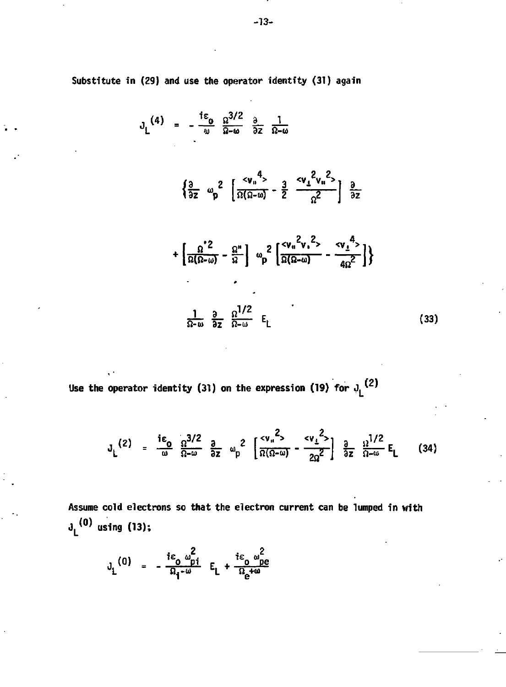Substitute in (29) and use the operator identity (31) again

$$
J_L^{(4)} = -\frac{i\epsilon_0}{\omega} \frac{\Omega^{3/2}}{\Omega - \omega} \frac{\partial}{\partial z} \frac{1}{\Omega - \omega}
$$

$$
\left\{\frac{3}{9z} \quad \omega_p^2 \quad \left[\frac{}{\Omega(\Omega-\omega)} - \frac{3}{2} \quad \frac{}{\Omega^2}\right] \quad \frac{9}{9z}
$$

$$
+\left[\frac{\Omega^2}{\Omega(\Omega-\omega)}-\frac{\Omega^n}{\Omega}\right]\omega_p^2\left[\frac{c_{V_n}^2c_{V_n}^2}{\Omega(\Omega-\omega)}-\frac{c_{V_n}^4}{4\Omega^2}\right]\}
$$
\n
$$
\frac{1}{\Omega-\omega}\frac{\partial}{\partial z}\frac{\Omega^{1/2}}{\Omega-\omega}E_L\tag{33}
$$

Use the operator identity (31) on the expression (19) for  $J_L^2$  (2)

 $\epsilon$ 

$$
J_L^{(2)} = \frac{i\epsilon_0}{\omega} \frac{\Omega^{3/2}}{\Omega - \omega} \frac{a}{\Omega z} \omega_p^2 \left[ \frac{c v_n^2}{\Omega(\Omega - \omega)} - \frac{c v_1^2}{2\Omega^2} \right] \frac{a}{\Omega z} \frac{\Omega^{1/2}}{\Omega - \omega} E_L \qquad (34)
$$

Assume cold electrons so that the electron current can be lumped in with  $J_L^{(0)}$  using (13);

$$
J_L^{(0)} = -\frac{i\epsilon_0}{\Omega_1 - \omega} \frac{\omega_{pi}^2}{E_L} + \frac{i\epsilon_0}{\Omega_2 + \omega} \frac{\omega_{pe}^2}{\Omega}
$$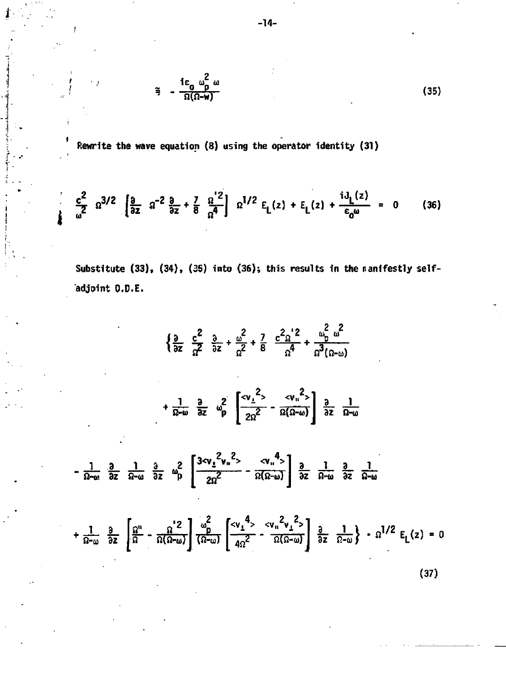$$
\tilde{=} - \frac{i \epsilon_0}{\Omega(\Omega - w)} \omega \tag{35}
$$

Rewrite the wave equation  $(8)$  using the operator identity  $(31)$ 

 $\overline{1}$ 

$$
\frac{c^2}{\omega^2} \quad \Omega^{3/2} \quad \left[ \frac{3}{2} \quad \Omega^{-2} \quad \frac{3}{2} + \frac{7}{8} \quad \frac{\Omega^{1/2}}{\Omega^{4}} \right] \quad \Omega^{1/2} \quad E_{L}(z) + E_{L}(z) + \frac{i J_{L}(z)}{\varepsilon_{0} \omega} = 0 \quad (36)
$$

Substitute (33), (34), (35) into (36); this results in the manifestly selfadjoint O.D.E.

$$
\left\{\frac{3}{2z} - \frac{c^2}{2z} + \frac{a^2}{2z} + \frac{7}{8} - \frac{c^2 a^2}{24} + \frac{a^2}{24} \frac{a^2}{(2-\omega)}\right\}
$$
  
+ 
$$
\frac{1}{2z-\omega} - \frac{3}{2z} - \frac{a^2}{24} - \frac{a^2}{24} \left[\frac{a^2}{24z^2} - \frac{a^2}{24} \left(\frac{a^2}{22} - \frac{a^2}{24} - \frac{a^2}{24} - \frac{a^2}{24} - \frac{a^2}{24} - \frac{a^2}{24} - \frac{a^2}{24} - \frac{a^2}{24} - \frac{a^2}{24} - \frac{a^2}{24} - \frac{a^2}{24} - \frac{a^2}{24} - \frac{a^2}{24} - \frac{a^2}{24} - \frac{a^2}{24} - \frac{a^2}{24} - \frac{a^2}{24} - \frac{a^2}{24} - \frac{a^2}{24} - \frac{a^2}{24} - \frac{a^2}{24} - \frac{a^2}{24} - \frac{a^2}{24} - \frac{a^2}{24} - \frac{a^2}{24} - \frac{a^2}{24} - \frac{a^2}{24} - \frac{a^2}{24} - \frac{a^2}{24} - \frac{a^2}{24} - \frac{a^2}{24} - \frac{a^2}{24} - \frac{a^2}{24} - \frac{a^2}{24} - \frac{a^2}{24} - \frac{a^2}{24} - \frac{a^2}{24} - \frac{a^2}{24} - \frac{a^2}{24} - \frac{a^2}{24} - \frac{a^2}{24} - \frac{a^2}{24} - \frac{a^2}{24} - \frac{a^2}{24} - \frac{a^2}{24} - \frac{a^2}{24} - \frac{a^2}{24} - \frac{a^2}{24} - \frac{a^2}{24} - \frac{a^2}{24} - \frac{a^2}{24} - \frac{a^2}{24} - \frac{a^2}{24} - \frac{a^2}{24} - \frac{a^2
$$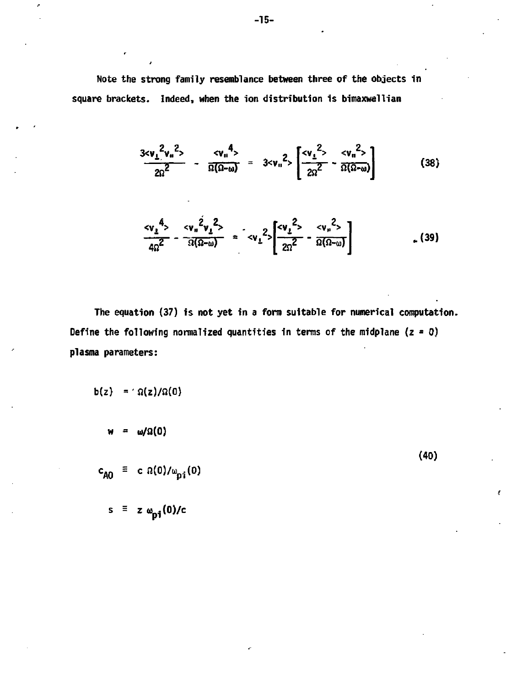**Note the strong family resemblance between three of the objects in square brackets. Indeed, when the ion distribution is bimaxwellian** 

$$
\frac{3c\mathsf{v}_{\perp}^{2}\mathsf{v}_{\parallel}^{2}}{2\Omega^{2}} - \frac{c\mathsf{v}_{\parallel}^{4}}{\Omega(\Omega-\omega)} = 3c\mathsf{v}_{\parallel}^{2} \left[ \frac{c\mathsf{v}_{\perp}^{2}}{2\Omega^{2}} - \frac{c\mathsf{v}_{\parallel}^{2}}{\Omega(\Omega-\omega)} \right]
$$
(38)

$$
\frac{\langle v_1^4 \rangle}{4\Omega^2} - \frac{\langle v_n^2 v_1^2 \rangle}{\Omega(\Omega - \omega)} = \langle v_1^2 \rangle \left[ \frac{\langle v_1^2 \rangle}{2\Omega^2} - \frac{\langle v_n^2 \rangle}{\Omega(\Omega - \omega)} \right] \tag{39}
$$

**(40)** 

t

**The equation (37) is not yet in a form suitable for numerical computation. Define the following normalized quantities in terms of the midplane (z = 0) plasma parameters:** 

$$
b(z) = \Omega(z)/\Omega(0)
$$

ł

**w/Ω(0)** 

$$
c_{\mathbf{A0}} = c \Omega(0)/\omega_{\mathbf{D}i}(0)
$$

 $s \equiv z \omega_{pi} (0)/c$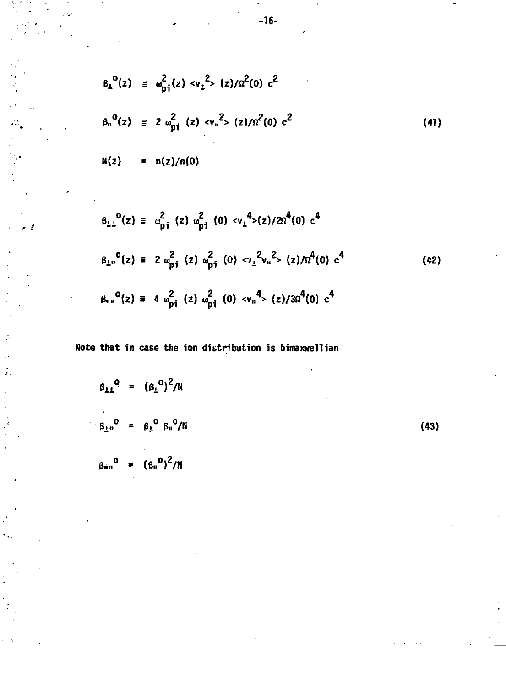$$
\beta_{\perp}^{0}(z) \equiv \omega_{\text{pi}}^{2}(z) \langle v_{\perp}^{2} \rangle (z) / \Omega^{2}(0) c^{2}
$$
\n
$$
\beta_{\text{H}}^{0}(z) \equiv 2 \omega_{\text{pi}}^{2} (z) \langle v_{\text{H}}^{2} \rangle (z) / \Omega^{2}(0) c^{2}
$$
\n
$$
N(z) = n(z) / n(0)
$$
\n(41)

$$
\beta_{11}^{0}(z) \equiv \omega_{pi}^{2}(z) \omega_{pi}^{2}(0) \langle v_{1}^{4}\rangle(z)/2\Omega^{4}(0) c^{4}
$$
\n
$$
\beta_{1n}^{0}(z) \equiv 2 \omega_{pi}^{2}(z) \omega_{pi}^{2}(0) \langle v_{1}^{2}v_{n}^{2}\rangle(z)/\Omega^{4}(0) c^{4}
$$
\n
$$
\beta_{mn}^{0}(z) \equiv 4 \omega_{pi}^{2}(z) \omega_{pi}^{2}(0) \langle v_{n}^{4}\rangle(z)/3\Omega^{4}(0) c^{4}
$$
\n(42)

**Note that in case the ion distribution is bimaxwellian** 

÷.

$$
\beta_{\perp\perp}^{0} = (\beta_{\perp}^{0})^{2}/N
$$
\n
$$
\beta_{\perp\perp}^{0} = \beta_{\perp}^{0} \beta_{\parallel}^{0}/N
$$
\n
$$
\beta_{\perp\perp}^{0} = (\beta_{\parallel}^{0})^{2}/N
$$
\n(43)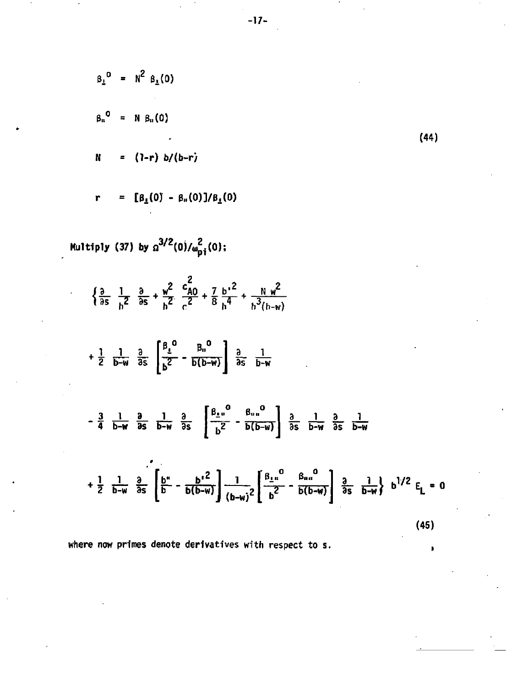$$
\beta_{L}^{0} = N^{2} \beta_{L}(0)
$$
\n
$$
\beta_{n}^{0} = N \beta_{n}(0)
$$
\n
$$
N = (1-r) b/(b-r)
$$
\n
$$
r = [\beta_{L}(0) - \beta_{n}(0)]/\beta_{L}(0)
$$
\n
$$
\begin{aligned}\nMultiply (37) by \alpha^{3/2}(0)/\omega_{pi}^{2}(0);\\
\frac{3}{25} \frac{1}{b^{2}} \frac{3}{25} + \frac{w^{2}}{b^{2}} \frac{c_{A0}^{2}}{c^{2}} + \frac{7}{8} \frac{b^{2}}{b^{4}} + \frac{N}{b^{3}(b-w)} \\
+ \frac{1}{2} \frac{1}{b-w} \frac{3}{25} \left[ \frac{\beta_{L}^{0}}{b^{2}} - \frac{\beta_{n}^{0}}{b(b-w)} \right] \frac{3}{25} \frac{1}{b-w} \\
- \frac{3}{4} \frac{1}{b-w} \frac{3}{25} \frac{1}{b-w} \frac{3}{25} \left[ \frac{\beta_{L}^{0}}{b^{2}} - \frac{\beta_{n}^{0}}{b(b-w)} \right] \frac{3}{25} \frac{1}{b-w} \\
+ \frac{1}{2} \frac{1}{b-w} \frac{3}{25} \left[ \frac{b^{*}}{b} - \frac{b^{2}}{b(b-w)} \right] \frac{1}{(b-w)^{2}} \left[ \frac{\beta_{L}^{0}}{b^{2}} - \frac{\beta_{nu}^{0}}{b(b-w)} \right] \frac{3}{25} \frac{1}{b-w} \frac{3}{25} \frac{1}{b-w} \text{ b}^{1/2} E_{L} = 0\n\end{aligned}
$$
\n(45)  
\nwhere now primes denote derivatives with respect to s.

à

P

 $-17-$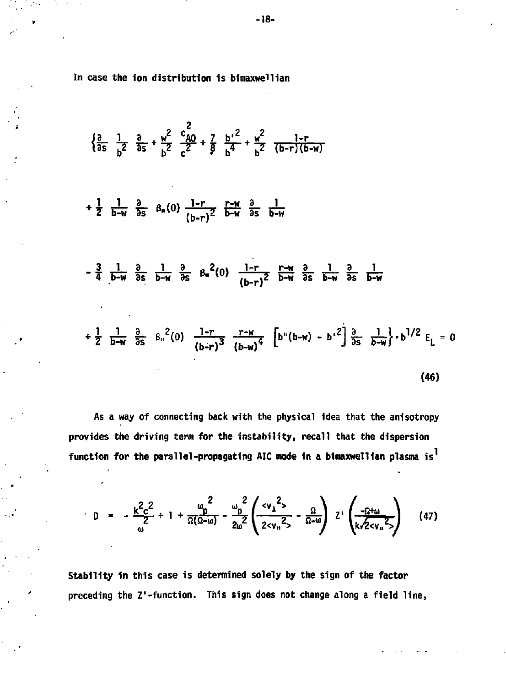**In case the ion distribution is bimaxwei1ian** 

$$
\begin{aligned}\n&\left\{\frac{\partial}{\partial s} - \frac{1}{b^2} - \frac{\partial}{\partial s} + \frac{w^2}{b^2} - \frac{c_{A0}^2}{c^2} + \frac{7}{9} - \frac{b^2}{b^4} + \frac{w^2}{b^2} - \frac{1-r}{(b-r)(b-w)}\right\} \\
&+ \frac{1}{2} - \frac{1}{b-w} - \frac{3}{\partial s} - \frac{1}{\partial w} + \frac{3}{\partial s} - \frac{1}{b-w} - \frac{r-w}{\partial s} - \frac{3}{\partial w} + \frac{1}{\partial s} - \frac{1}{\partial w} + \frac{r-w}{\partial s} - \frac{3}{\partial w} + \frac{1}{\partial s} - \frac{3}{\partial w} + \frac{1}{\partial s} - \frac{3}{\partial w} + \frac{1}{\partial s} - \frac{3}{\partial w} + \frac{1}{\partial s} - \frac{3}{\partial w} + \frac{1}{\partial s} - \frac{3}{\partial w} + \frac{1}{\partial s} - \frac{1}{\partial w} + \frac{3}{\partial s} - \frac{1}{\partial w} + \frac{3}{\partial s} - \frac{1}{\partial w} + \frac{1}{\partial s} - \frac{1}{\partial w} + \frac{3}{\partial s} - \frac{1}{\partial w} + \frac{1}{\partial s} - \frac{1}{\partial w} + \frac{3}{\partial s} - \frac{1}{\partial w} + \frac{1}{\partial s} - \frac{1}{\partial w} + \frac{1}{\partial s} - \frac{1}{\partial w} + \frac{1}{\partial s} - \frac{1}{\partial w} + \frac{1}{\partial s} - \frac{1}{\partial w} + \frac{1}{\partial s} - \frac{1}{\partial w} + \frac{1}{\partial s} - \frac{1}{\partial w} + \frac{1}{\partial s} - \frac{1}{\partial w} + \frac{1}{\partial s} - \frac{1}{\partial w} + \frac{1}{\partial s} - \frac{1}{\partial w} + \frac{1}{\partial s} - \frac{1}{\partial w} + \frac{1}{\partial s} - \frac{1}{\partial w} + \frac{1}{\partial s} - \frac{1}{\partial w} + \frac{1}{\partial s} - \frac{1}{\partial w} + \frac{1}{\partial s} - \frac{1}{\partial w} + \frac
$$

As a way of connecting back with the physical idea that the anisotropy **provides the driving term for the instability, recall that the dispersion function for the parallel-propagating AIC mode in a bimaxwellian plasma is** 

$$
D = -\frac{k^2 c^2}{\omega^2} + 1 + \frac{\omega_p^2}{\Omega(\Omega - \omega)} - \frac{\omega_p^2}{2\omega^2} \left( \frac{c v_1^2}{2 c v_n^2} - \frac{\Omega}{\Omega - \omega} \right) \left( \frac{-\Omega + \omega}{k \sqrt{2 c v_n^2}} \right) \tag{47}
$$

**Stability in this case is determined solely by the sign of the factor preceding the Z'-function. This sign does not change along a field line,**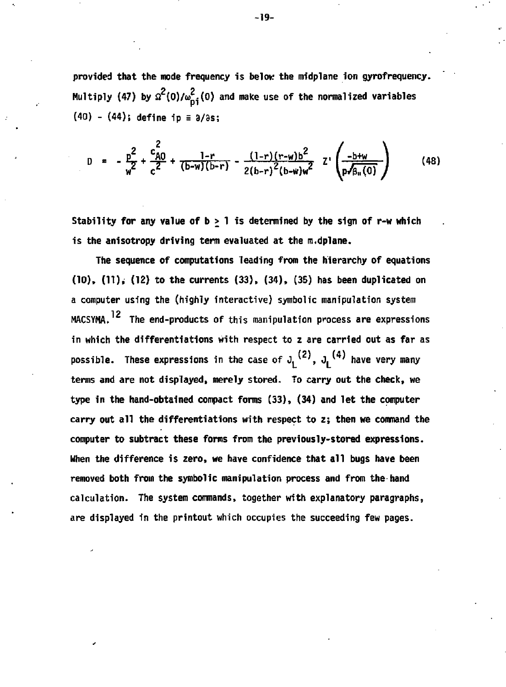**provided that the mode frequency is below the midplane ion gyrofrequency.**  Multiply (47) by  $\Omega^2(0)/\omega_{\text{D}i}^2(0)$  and make use of the normalized variables **(40) - (44); define ip** *=* **3/8s;** 

D = 
$$
-\frac{p^2}{w^2} + \frac{c_{A0}^2}{c^2} + \frac{1-r}{(b-w)(b-r)} - \frac{(1-r)(r-w)b^2}{2(b-r)^2(b-w)w^2} \cdot \frac{1-r}{p\sqrt{a_1(0)}}
$$
 (48)

Stability for any value of  $b > 1$  is determined by the sign of r-w which **is the anisotropy driving term evaluated at the m.dplane.** 

**The sequence of computations leading from the hierarchy of equations (10), (11), (12) to the currents (33), (34), (35) has been duplicated on a computer using the (highly interactive) symbolic manipulation system 12 HACSYMA. The end-products of this manipulation process are expressions in which the differentiations with respect to z are carried out as far as possible.** These expressions in the case of  $J_L^{(2)}$ ,  $J_L^{(4)}$  have very many **terms and are not displayed, merely stored. To carry out the check, we type in the hand-obtained compact forms (33), (34) and let the computer carry out all the differentiations with respect to z; then we command the computer to subtract these forms from the previously-stored expressions. When the difference is zero, we have confidence that all bugs have been removed both from the symbolic manipulation process and from the hand calculation. The system commands, together with explanatory paragraphs, are displayed in the printout which occupies the succeeding few pages.** 

**-19-**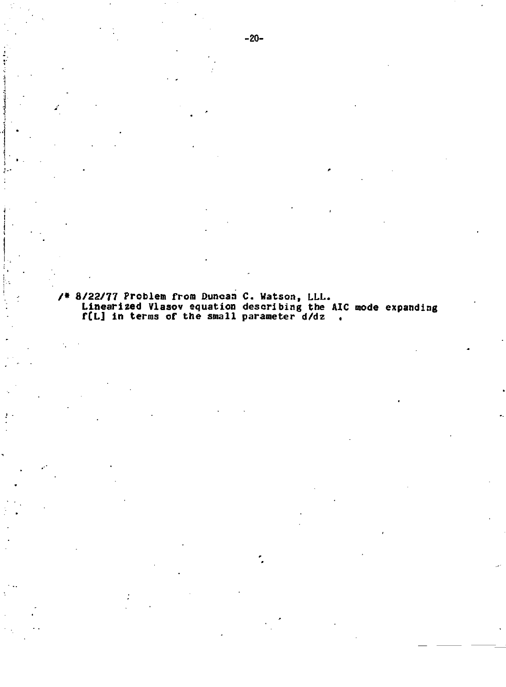**/\* 8/22/77 Problem from Duncan C. Watson, LLL. Linearized Vlasov equation describing the AIC mode expanding f[L] in terras of the small parameter d/dz .**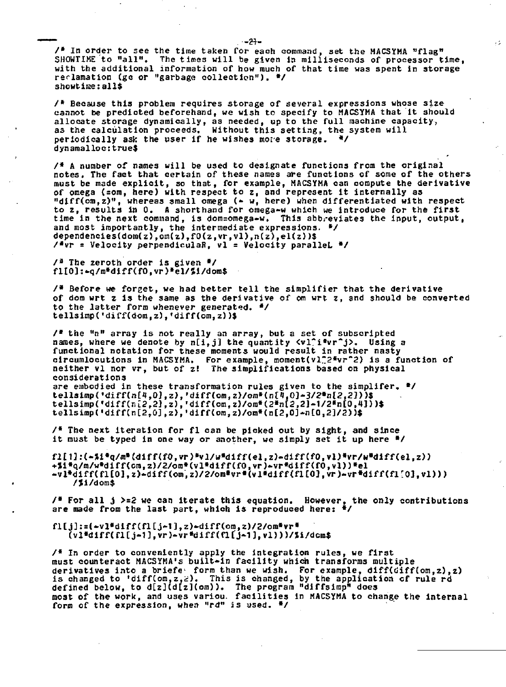**/\* In order to see the time taken for each command, set the MACSYMA "flag" SHOWTIME to "all". The times will be given in milliseconds of processor time, with the additional information of how much of that time was spent in storage reclamation (gc or "garbage collection"). •/ shcwtiiae:all\$** 

 $\sim$  1

**/\* Because this problem requires storage of several expressions whose size cannot be predicted beforehand, we wish to specify to MACSYMA that it should allocate storage dynamically, as needed, up to the full machine capacity, as the calculation proceeds. Without this setting, the system will periodically ask the user if he wishes more storage. \*/ dynamalloc:true\$** 

**/\* A number of names will be used to designate functions from the original notes. The fact that certain of these names are functions of some of the others must be made explicit, so that, for example, MACSYMA can compute the derivative of omega <=om, here) with respect to z, and represent it internally as "diff(om,z)", whereas small omega (\*• w, here) when differentiated with respect to z, results in 0. A shorthand for omega-w which we introduce for the first time in the next command, is dom=omega-w. This abbreviates the input, output, and most importantly, the intermediate expressions. \*/ dependencies(dom(z),om(z),fO(z,vr,vl),n(z),el(z))\$ /•vr = Velocity perpendiculaB, vl = Velocity parallel. •/** 

**/ <sup>3</sup> The zeroth order is given •/ fl[0]:-q/m\*diff(fO,vr)\*el/Ji/dom\$** 

**/• Before we forget, we had better tell the simplifier that the derivative of dots wrt z is the same as the derivative of cm wrt z, and should be converted to the latter form whenever generated. \*/ tellsimpCdiff(dom,2),'diff(om,z))\$** 

**/\* the "n" array is not really an array, but a set of subscripted**  names, where we denote by n[i,j] the quantity  $\langle v1 \rangle$ i\*vr^j>. Using a **functional notation for these moments would result in rather nasty**  circumlocutions in MACSYMA, For example, moment(vl<sup>-2\*</sup>vr<sup>-2</sup>) is a function of **neither vl nor vr, but of z! The simplifications based on physical considerations are embodied in these transformation rules given to the simplifer. »/ tell3imp('diff(n£i|,0],z),'diff(on],z)/ora\*(n[4,0)-3/2\*nl2,2J>>\$ tellsimp(«diff(r1[2,2],z),,diff(om,z)/om»C2»n[2,2)-1/2«n[0,4]))\$ tellsimp('diff(n[2,0],z>,,diff(om,z)/omȣn[2,0]-nt0,2]/2))\$** 

**/\* The next iteration for fl can be picked out by sight, and since it must be typed in one way or another, we simply set it up here \*/** 

**fl£U:(-\*i»q/m\*{diff<fO,vr)»vl/w«diff(el,z)-diff(fO,vl)«vr/w»diff(el,z)) +>i\*q/m/w\*dirf(ora,z)/2/ora«(vl»diff(fO,vr)\*vr»diff<fO,vl))»el -vl\*diff(fl[0],z)-diff(om,z)/2/om«vr«(vl»diff(flt0],vr)-vr\*diff(fl!:0],vl))) /Ji/dom\$** 

**/\* For all** *i* **>=2 we can iterate this equation. However, the only contributions are made from the last part, which is reproduced here: \*/** 

**fl[j]:=(\*vl«diff(fl[j\*l],z)\*diff(ora,z)/2/oni«vr« (vl»diffCri[j-1],vr)-vr\*diff(fl[>1J,vl)))/Ji/dcm\$** 

**/ \* In order to conveniently apply the integration rules, we first must counteract MACSYMA's built-in facilit y which transforms multiple derivative s into a briefe <sup>1</sup> form than we wish. For example, diff(cliff (om,z),z )**  is changed to 'diff(om,z,z). This is changed, by the application of rule rd **defined below, to d[z](d[z](om))• The program "diffsimp" does moat of the work, and uses variou. facilitie s in MACSYMA to change the Internal form of the expression, when "rd" is used. \*/** 

**.** *-tt-*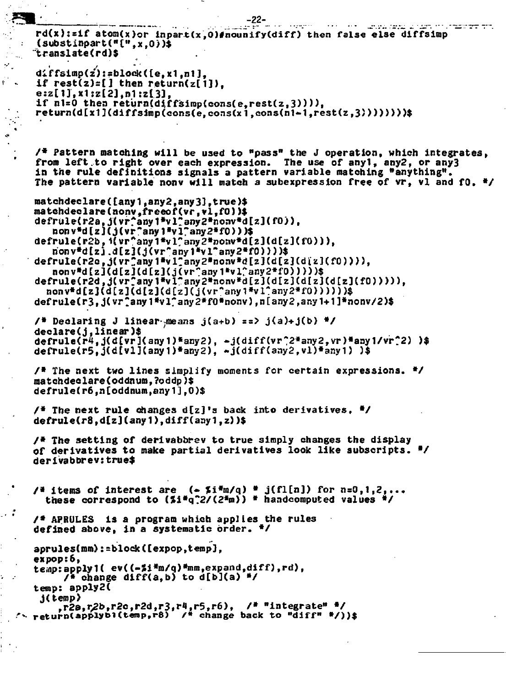```
••.-I2B_L_ -22- _____ 
      rd(x):=1f atom(x)or inpart(x,0)#nounify(diff) then false else diffsimp
      (substinpart("[",xtO>)$ 
     translate(rd)$ 
      diir fsimp(z'): sbloek (te , x1 ,n1 ] , 
\mathbf{if} rest(z)=[ ] then \mathbf{return}(\mathbf{z}[1]).
      e:z[l],x1jz[2],n1:zl3] , 
      if n! = 0 then return(diffsimp(cons(e,rest(z, 3)))),
      return(d[x1Kdiff3imp(cons(e,cons(x1 ,cons(n1<-1 ,rest(z,3)))))>)) $ 
      / * Pattern matching wil l be used to "pass" the J operation, which integrates, 
      from left.t o right over each expression. The use of anyl, any2, or any3 
      in the rule definitions signals a pattern variable matching "anything".
      The pattern variable nonv will match a subexpression free of vr, vl and fO. */
      matchdeclare([any1,any2,any3],true)$ 
      matehdeclare(nonvt freeof(vr,vl,f0 ) )$ 
      defrule(r2a, j(vr^any1*vl^any2*nonv*d[z](fO)),
         nonv*dtz](j(vr"any1»vl7any2»f0)))$ 
      defrule(r2b,i(vr<sup>*</sup>any1*vl<sup>*</sup>any2*nonv*d[z](d[z](f0))),
         rionv*d[zj.d[zJCj(vr*any1*vl~any2*fO)>)>$ 
      defrule(r2c,j(vr?any1*v1?any2*nonv*d[z](d[z](diz](fO)))),
         nonv»d[z](d[z](d[z](j(vr"any1»virany2*f0)))))$ 
      defrule(r2d > j(vr:any1*vl-any2«nonv»d[z](d[z](d[z]Cd[z](fO))))), 
        nonv*d[z](d[z](d[z](d[z](j{vr"any1»vl*any2*f0))))))$ 
      defrule(r3 , j(vr;any1»virany2*f0»nonv) ,n[any2,anyU1]*nonv/2)$ 
      / » Declaring J linear-means j(a+b) ==> j(a)+j(b) V 
      declare(j,linear) $ 
      defrule(r4,j(d£vrKany1)«any2), -j(diff(vr,
;2*any2,vr)*any1/vr?2) )$ 
      defrule(r5,j(d[vl](any1)*any2), -j(diff{any2,vl)*any1 ) )$ 
      / * The next two line s simplify moments for certain expressions. */ 
      matchdeclare(oddnumt
 ?oddp)$ 
      defrule(r6,n[oddnum,any1],0)$ 
      / * The next rul e changes d[z]'s back into derivatives, •/ 
     defrule(r8,d[z](any1),diff(aay1 f z)) $ 
     /* The setting of derivabbrev to true simply changes the display
     of derivative s t o make partial derivative s look like subscripts. */ 
     derivabbrev:true$ 
     / * items of interest are (-5i\pi n/q) * j(f1[n]) for n=0,1,2,...thes e correspond to (Si*q?2/(2*m)) * handcomputed values */ 
     / * APRULES is a program which applie s the rules 
     defined above, in a systematic order. */ 
      aprules(mm):=block(texpop,temp], 
      expop:6, 
      te<ap:apply1( ev((-%i*m/q)»mm,expandtdiff) ,rd), 
           / » change diff<a,b) to d[b](a ) »/ 
     temp: apply2( 
          ,r2a,r2b,r2c,r2d,r3,r4,r5,r6), /* "integrate" */
  r r2a,r / 2b,r2c t r2d,r3,r1,r5,r6), / * "integrate" */ 
.*•»• return(applyb1(tenip,r8) / • change back to "diff" »/)) $
```
 $\mathcal{F}_\mathbf{a}$ 

 $\cdot$  :

ŕ,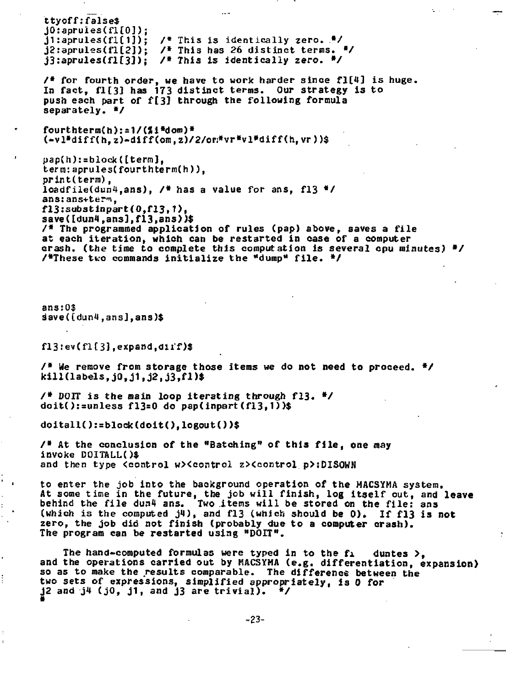**ttyoff:false \$ jO:apruies(fl£0]); jl:aprules(fl[1]); / \* This is identicall y zero.** *.\*/*  **j2:aprules(fl[2]);** /\* This has 26 distinct terms. \*/ **j3:aprules(fl[3J); / » This is identicall y zero. \*/ / \* for fourth order, we have t o work harder sinc e fl[4 ] is huge.**  In fact, fl[3] has 173 distinct terms. Our strategy is to push each part of f[3] through the following formula **separately. \*/ fourthterm(h):\*1/(Ji\*doro)\* <-vl»diff(h,z)-diff(om,z)/2/ori\*vr«vl\*diff(h,vr))\$ pap(h):=block([term],**  term:aprules(fourthterm(h)), **print(term),**  loadfile(dun4.ans), /\* has a value for ans, fl3 \*/ **anszans+ttr-n, fl3:sub3tinpart(0,fl3,T), save([dunl,ans],f13,ans)***)\$*  **/ \* The programmed application of rules (pap) above, saves a fil e at each iteration, which can be restarted in case of a computer crash, (the time to complete this computation is several cpu minutes) \* / /•These tt'o commands initializ e the "dump" file . \*/ ans:0\$ save([dunt,ans],ans)\$ fl3:ev(flt3],expand,oii'f)\$ / \* We remove from storage those items we do not need to proceed. \*/ kill(labels,j0,j1,j2,j3,fl) \$ / \* DOIT is the main loop iterating through fl3 . »/ doit():=unless fl3=0 do papdnpart (fl3,1 ) )\$ doitall():=block(doit(),logout()) \$ / \* At the conclusion of the "Batching" of this file , one may invoke DOITALU )\$**  and then type <control w><control z><control p>:DISOWN **to enter the job into the background operation of the MACSYMA system. At some time in the future, the job will finish, log itsel f out, and leave behind the fil e dunl ans. Two items will be stored on the file : ans (which is the computed jl) , and fl3 (which should be 0). If fl 3 i s not**  zero, the job did not finish (probably due to a computer crash). **The program can be restarted using "DOIT". The hand-computed formulas were typed in to the fi duntes >,**  and the operations carried out by MACSYMA (e.g. differentiation, expansion) so as to make the results comparable. The difference between the **two sets of expressions, simplified appropriately, is 0 for j2 and j4 (jO, jl , and J3 are trivial) . \* /**